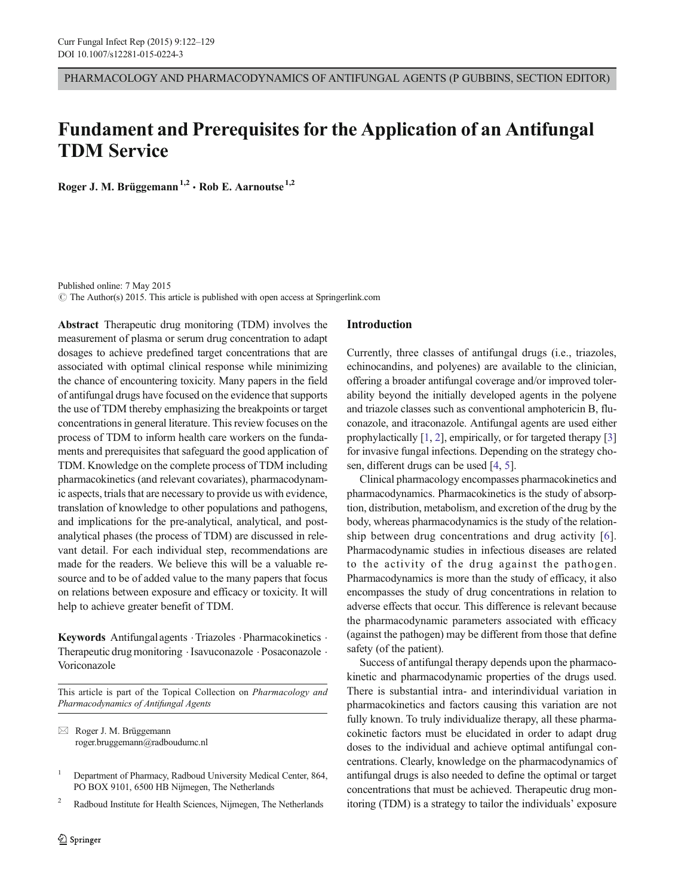PHARMACOLOGY AND PHARMACODYNAMICS OF ANTIFUNGAL AGENTS (P GUBBINS, SECTION EDITOR)

# Fundament and Prerequisites for the Application of an Antifungal TDM Service

Roger J. M. Brüggemann<sup>1,2</sup>  $\cdot$  Rob E. Aarnoutse<sup>1,2</sup>

Published online: 7 May 2015  $\odot$  The Author(s) 2015. This article is published with open access at Springerlink.com

Abstract Therapeutic drug monitoring (TDM) involves the measurement of plasma or serum drug concentration to adapt dosages to achieve predefined target concentrations that are associated with optimal clinical response while minimizing the chance of encountering toxicity. Many papers in the field of antifungal drugs have focused on the evidence that supports the use of TDM thereby emphasizing the breakpoints or target concentrations in general literature. This review focuses on the process of TDM to inform health care workers on the fundaments and prerequisites that safeguard the good application of TDM. Knowledge on the complete process of TDM including pharmacokinetics (and relevant covariates), pharmacodynamic aspects, trials that are necessary to provide us with evidence, translation of knowledge to other populations and pathogens, and implications for the pre-analytical, analytical, and postanalytical phases (the process of TDM) are discussed in relevant detail. For each individual step, recommendations are made for the readers. We believe this will be a valuable resource and to be of added value to the many papers that focus on relations between exposure and efficacy or toxicity. It will help to achieve greater benefit of TDM.

Keywords Antifungal agents · Triazoles · Pharmacokinetics · Therapeutic drug monitoring .Isavuconazole . Posaconazole . Voriconazole

This article is part of the Topical Collection on Pharmacology and Pharmacodynamics of Antifungal Agents

 $\boxtimes$  Roger J. M. Brüggemann roger.bruggemann@radboudumc.nl

## <sup>1</sup> Department of Pharmacy, Radboud University Medical Center, 864, PO BOX 9101, 6500 HB Nijmegen, The Netherlands

<sup>2</sup> Radboud Institute for Health Sciences, Nijmegen, The Netherlands

## Introduction

Currently, three classes of antifungal drugs (i.e., triazoles, echinocandins, and polyenes) are available to the clinician, offering a broader antifungal coverage and/or improved tolerability beyond the initially developed agents in the polyene and triazole classes such as conventional amphotericin B, fluconazole, and itraconazole. Antifungal agents are used either prophylactically [\[1](#page-6-0), [2\]](#page-6-0), empirically, or for targeted therapy [\[3](#page-6-0)] for invasive fungal infections. Depending on the strategy chosen, different drugs can be used [\[4](#page-6-0), [5](#page-6-0)].

Clinical pharmacology encompasses pharmacokinetics and pharmacodynamics. Pharmacokinetics is the study of absorption, distribution, metabolism, and excretion of the drug by the body, whereas pharmacodynamics is the study of the relationship between drug concentrations and drug activity [[6](#page-6-0)]. Pharmacodynamic studies in infectious diseases are related to the activity of the drug against the pathogen. Pharmacodynamics is more than the study of efficacy, it also encompasses the study of drug concentrations in relation to adverse effects that occur. This difference is relevant because the pharmacodynamic parameters associated with efficacy (against the pathogen) may be different from those that define safety (of the patient).

Success of antifungal therapy depends upon the pharmacokinetic and pharmacodynamic properties of the drugs used. There is substantial intra- and interindividual variation in pharmacokinetics and factors causing this variation are not fully known. To truly individualize therapy, all these pharmacokinetic factors must be elucidated in order to adapt drug doses to the individual and achieve optimal antifungal concentrations. Clearly, knowledge on the pharmacodynamics of antifungal drugs is also needed to define the optimal or target concentrations that must be achieved. Therapeutic drug monitoring (TDM) is a strategy to tailor the individuals' exposure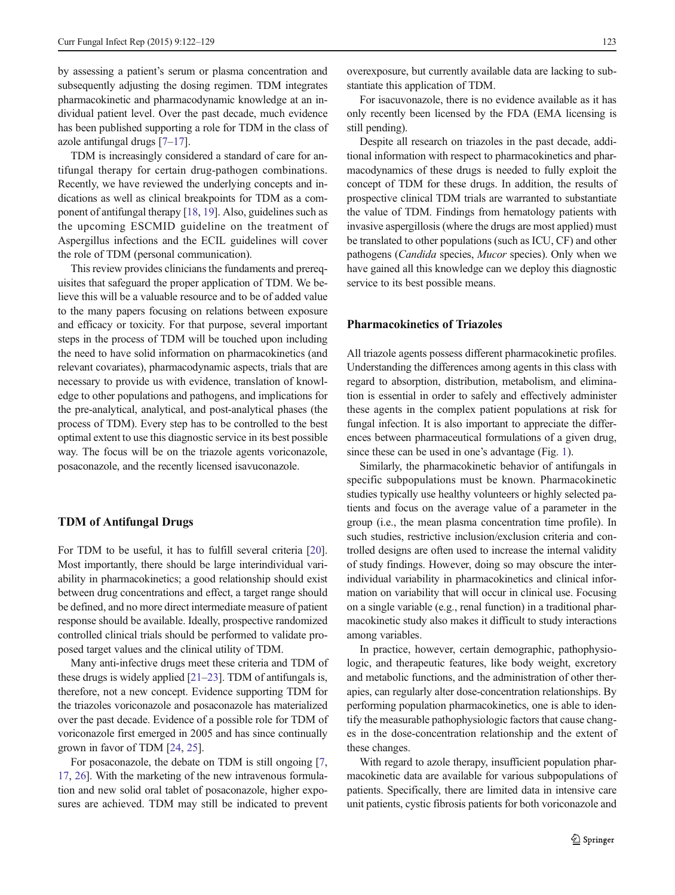by assessing a patient's serum or plasma concentration and subsequently adjusting the dosing regimen. TDM integrates pharmacokinetic and pharmacodynamic knowledge at an individual patient level. Over the past decade, much evidence has been published supporting a role for TDM in the class of azole antifungal drugs [\[7](#page-6-0)–[17\]](#page-6-0).

TDM is increasingly considered a standard of care for antifungal therapy for certain drug-pathogen combinations. Recently, we have reviewed the underlying concepts and indications as well as clinical breakpoints for TDM as a component of antifungal therapy [\[18,](#page-6-0) [19\]](#page-6-0). Also, guidelines such as the upcoming ESCMID guideline on the treatment of Aspergillus infections and the ECIL guidelines will cover the role of TDM (personal communication).

This review provides clinicians the fundaments and prerequisites that safeguard the proper application of TDM. We believe this will be a valuable resource and to be of added value to the many papers focusing on relations between exposure and efficacy or toxicity. For that purpose, several important steps in the process of TDM will be touched upon including the need to have solid information on pharmacokinetics (and relevant covariates), pharmacodynamic aspects, trials that are necessary to provide us with evidence, translation of knowledge to other populations and pathogens, and implications for the pre-analytical, analytical, and post-analytical phases (the process of TDM). Every step has to be controlled to the best optimal extent to use this diagnostic service in its best possible way. The focus will be on the triazole agents voriconazole, posaconazole, and the recently licensed isavuconazole.

### TDM of Antifungal Drugs

For TDM to be useful, it has to fulfill several criteria [[20\]](#page-7-0). Most importantly, there should be large interindividual variability in pharmacokinetics; a good relationship should exist between drug concentrations and effect, a target range should be defined, and no more direct intermediate measure of patient response should be available. Ideally, prospective randomized controlled clinical trials should be performed to validate proposed target values and the clinical utility of TDM.

Many anti-infective drugs meet these criteria and TDM of these drugs is widely applied [\[21](#page-7-0)–[23\]](#page-7-0). TDM of antifungals is, therefore, not a new concept. Evidence supporting TDM for the triazoles voriconazole and posaconazole has materialized over the past decade. Evidence of a possible role for TDM of voriconazole first emerged in 2005 and has since continually grown in favor of TDM [\[24,](#page-7-0) [25\]](#page-7-0).

For posaconazole, the debate on TDM is still ongoing [[7,](#page-6-0) [17,](#page-6-0) [26\]](#page-7-0). With the marketing of the new intravenous formulation and new solid oral tablet of posaconazole, higher exposures are achieved. TDM may still be indicated to prevent overexposure, but currently available data are lacking to substantiate this application of TDM.

For isacuvonazole, there is no evidence available as it has only recently been licensed by the FDA (EMA licensing is still pending).

Despite all research on triazoles in the past decade, additional information with respect to pharmacokinetics and pharmacodynamics of these drugs is needed to fully exploit the concept of TDM for these drugs. In addition, the results of prospective clinical TDM trials are warranted to substantiate the value of TDM. Findings from hematology patients with invasive aspergillosis (where the drugs are most applied) must be translated to other populations (such as ICU, CF) and other pathogens (Candida species, Mucor species). Only when we have gained all this knowledge can we deploy this diagnostic service to its best possible means.

#### Pharmacokinetics of Triazoles

All triazole agents possess different pharmacokinetic profiles. Understanding the differences among agents in this class with regard to absorption, distribution, metabolism, and elimination is essential in order to safely and effectively administer these agents in the complex patient populations at risk for fungal infection. It is also important to appreciate the differences between pharmaceutical formulations of a given drug, since these can be used in one's advantage (Fig. [1\)](#page-2-0).

Similarly, the pharmacokinetic behavior of antifungals in specific subpopulations must be known. Pharmacokinetic studies typically use healthy volunteers or highly selected patients and focus on the average value of a parameter in the group (i.e., the mean plasma concentration time profile). In such studies, restrictive inclusion/exclusion criteria and controlled designs are often used to increase the internal validity of study findings. However, doing so may obscure the interindividual variability in pharmacokinetics and clinical information on variability that will occur in clinical use. Focusing on a single variable (e.g., renal function) in a traditional pharmacokinetic study also makes it difficult to study interactions among variables.

In practice, however, certain demographic, pathophysiologic, and therapeutic features, like body weight, excretory and metabolic functions, and the administration of other therapies, can regularly alter dose-concentration relationships. By performing population pharmacokinetics, one is able to identify the measurable pathophysiologic factors that cause changes in the dose-concentration relationship and the extent of these changes.

With regard to azole therapy, insufficient population pharmacokinetic data are available for various subpopulations of patients. Specifically, there are limited data in intensive care unit patients, cystic fibrosis patients for both voriconazole and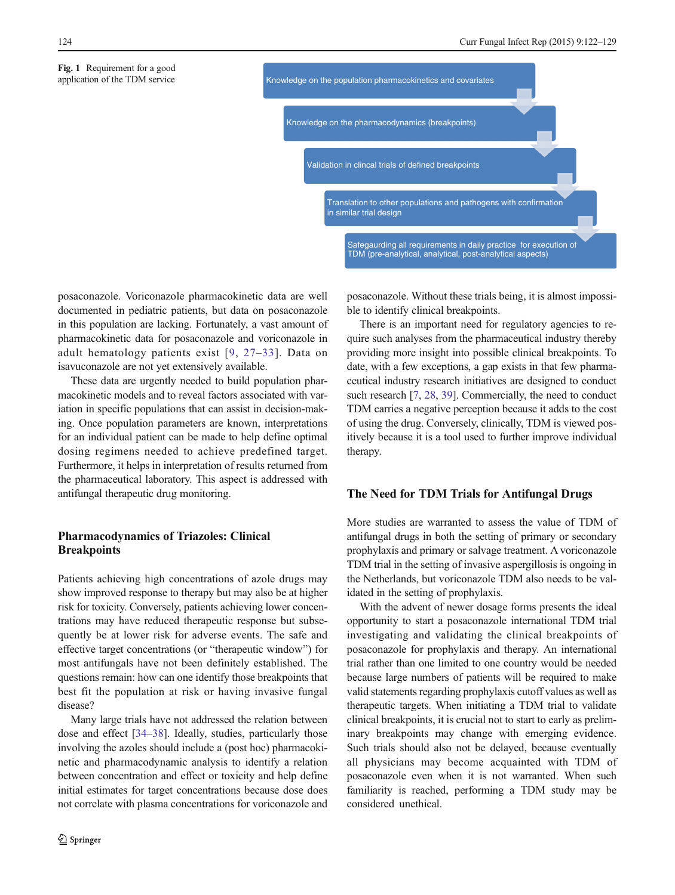<span id="page-2-0"></span>

posaconazole. Voriconazole pharmacokinetic data are well documented in pediatric patients, but data on posaconazole in this population are lacking. Fortunately, a vast amount of pharmacokinetic data for posaconazole and voriconazole in adult hematology patients exist [[9,](#page-6-0) [27](#page-7-0)–[33\]](#page-7-0). Data on isavuconazole are not yet extensively available.

These data are urgently needed to build population pharmacokinetic models and to reveal factors associated with variation in specific populations that can assist in decision-making. Once population parameters are known, interpretations for an individual patient can be made to help define optimal dosing regimens needed to achieve predefined target. Furthermore, it helps in interpretation of results returned from the pharmaceutical laboratory. This aspect is addressed with antifungal therapeutic drug monitoring.

# Pharmacodynamics of Triazoles: Clinical **Breakpoints**

Patients achieving high concentrations of azole drugs may show improved response to therapy but may also be at higher risk for toxicity. Conversely, patients achieving lower concentrations may have reduced therapeutic response but subsequently be at lower risk for adverse events. The safe and effective target concentrations (or "therapeutic window") for most antifungals have not been definitely established. The questions remain: how can one identify those breakpoints that best fit the population at risk or having invasive fungal disease?

Many large trials have not addressed the relation between dose and effect [[34](#page-7-0)–[38](#page-7-0)]. Ideally, studies, particularly those involving the azoles should include a (post hoc) pharmacokinetic and pharmacodynamic analysis to identify a relation between concentration and effect or toxicity and help define initial estimates for target concentrations because dose does not correlate with plasma concentrations for voriconazole and posaconazole. Without these trials being, it is almost impossi-

ble to identify clinical breakpoints. There is an important need for regulatory agencies to require such analyses from the pharmaceutical industry thereby providing more insight into possible clinical breakpoints. To date, with a few exceptions, a gap exists in that few pharmaceutical industry research initiatives are designed to conduct such research [[7](#page-6-0), [28](#page-7-0), [39](#page-7-0)]. Commercially, the need to conduct TDM carries a negative perception because it adds to the cost of using the drug. Conversely, clinically, TDM is viewed positively because it is a tool used to further improve individual therapy.

### The Need for TDM Trials for Antifungal Drugs

More studies are warranted to assess the value of TDM of antifungal drugs in both the setting of primary or secondary prophylaxis and primary or salvage treatment. A voriconazole TDM trial in the setting of invasive aspergillosis is ongoing in the Netherlands, but voriconazole TDM also needs to be validated in the setting of prophylaxis.

With the advent of newer dosage forms presents the ideal opportunity to start a posaconazole international TDM trial investigating and validating the clinical breakpoints of posaconazole for prophylaxis and therapy. An international trial rather than one limited to one country would be needed because large numbers of patients will be required to make valid statements regarding prophylaxis cutoff values as well as therapeutic targets. When initiating a TDM trial to validate clinical breakpoints, it is crucial not to start to early as preliminary breakpoints may change with emerging evidence. Such trials should also not be delayed, because eventually all physicians may become acquainted with TDM of posaconazole even when it is not warranted. When such familiarity is reached, performing a TDM study may be considered unethical.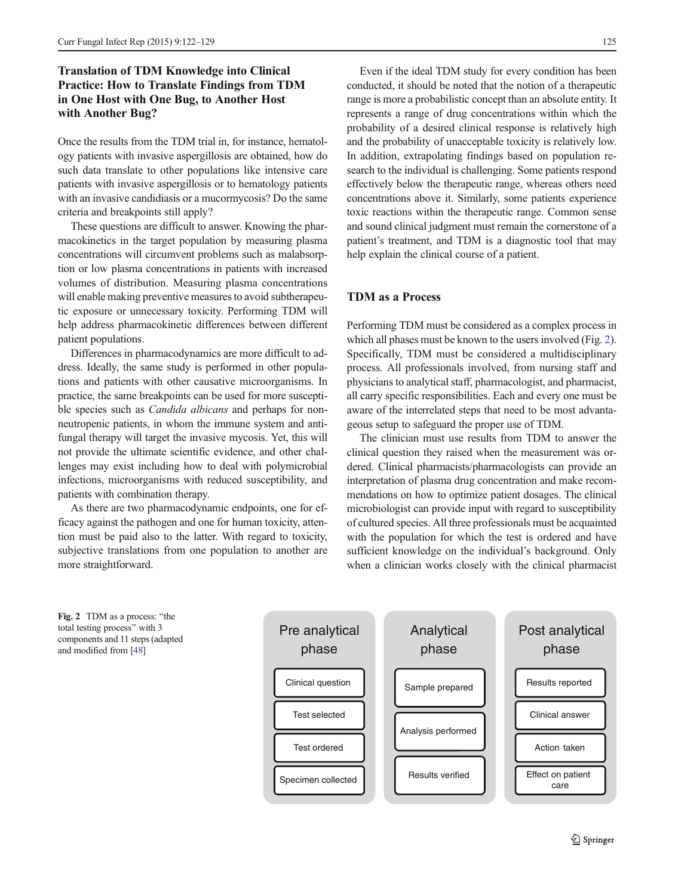# <span id="page-3-0"></span>Translation of TDM Knowledge into Clinical Practice: How to Translate Findings from TDM in One Host with One Bug, to Another Host with Another Bug?

Once the results from the TDM trial in, for instance, hematology patients with invasive aspergillosis are obtained, how do such data translate to other populations like intensive care patients with invasive aspergillosis or to hematology patients with an invasive candidiasis or a mucormycosis? Do the same criteria and breakpoints still apply?

These questions are difficult to answer. Knowing the pharmacokinetics in the target population by measuring plasma concentrations will circumvent problems such as malabsorption or low plasma concentrations in patients with increased volumes of distribution. Measuring plasma concentrations will enable making preventive measures to avoid subtherapeutic exposure or unnecessary toxicity. Performing TDM will help address pharmacokinetic differences between different patient populations.

Differences in pharmacodynamics are more difficult to address. Ideally, the same study is performed in other populations and patients with other causative microorganisms. In practice, the same breakpoints can be used for more susceptible species such as *Candida albicans* and perhaps for nonneutropenic patients, in whom the immune system and antifungal therapy will target the invasive mycosis. Yet, this will not provide the ultimate scientific evidence, and other challenges may exist including how to deal with polymicrobial infections, microorganisms with reduced susceptibility, and patients with combination therapy.

As there are two pharmacodynamic endpoints, one for efficacy against the pathogen and one for human toxicity, attention must be paid also to the latter. With regard to toxicity, subjective translations from one population to another are more straightforward.

Even if the ideal TDM study for every condition has been conducted, it should be noted that the notion of a therapeutic range is more a probabilistic concept than an absolute entity. It represents a range of drug concentrations within which the probability of a desired clinical response is relatively high and the probability of unacceptable toxicity is relatively low. In addition, extrapolating findings based on population research to the individual is challenging. Some patients respond effectively below the therapeutic range, whereas others need concentrations above it. Similarly, some patients experience toxic reactions within the therapeutic range. Common sense and sound clinical judgment must remain the cornerstone of a patient's treatment, and TDM is a diagnostic tool that may help explain the clinical course of a patient.

## TDM as a Process

Performing TDM must be considered as a complex process in which all phases must be known to the users involved (Fig. 2). Specifically, TDM must be considered a multidisciplinary process. All professionals involved, from nursing staff and physicians to analytical staff, pharmacologist, and pharmacist, all carry specific responsibilities. Each and every one must be aware of the interrelated steps that need to be most advantageous setup to safeguard the proper use of TDM.

The clinician must use results from TDM to answer the clinical question they raised when the measurement was ordered. Clinical pharmacists/pharmacologists can provide an interpretation of plasma drug concentration and make recommendations on how to optimize patient dosages. The clinical microbiologist can provide input with regard to susceptibility of cultured species. All three professionals must be acquainted with the population for which the test is ordered and have sufficient knowledge on the individual's background. Only when a clinician works closely with the clinical pharmacist

Fig. 2 TDM as a process: "the total testing process" with 3 components and 11 steps (adapted and modified from [[48\]](#page-7-0)

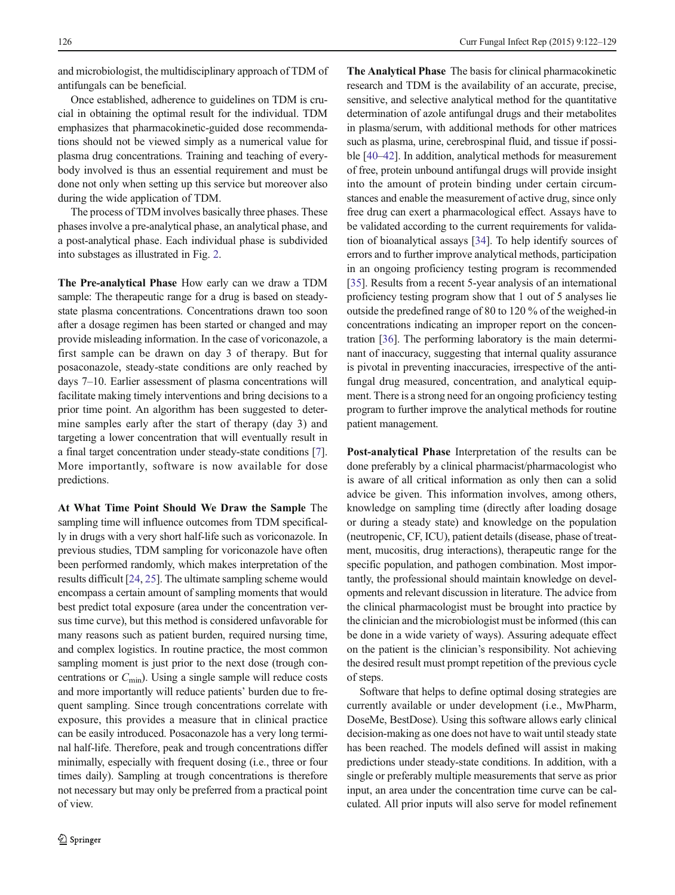and microbiologist, the multidisciplinary approach of TDM of antifungals can be beneficial.

Once established, adherence to guidelines on TDM is crucial in obtaining the optimal result for the individual. TDM emphasizes that pharmacokinetic-guided dose recommendations should not be viewed simply as a numerical value for plasma drug concentrations. Training and teaching of everybody involved is thus an essential requirement and must be done not only when setting up this service but moreover also during the wide application of TDM.

The process of TDM involves basically three phases. These phases involve a pre-analytical phase, an analytical phase, and a post-analytical phase. Each individual phase is subdivided into substages as illustrated in Fig. [2](#page-3-0).

The Pre-analytical Phase How early can we draw a TDM sample: The therapeutic range for a drug is based on steadystate plasma concentrations. Concentrations drawn too soon after a dosage regimen has been started or changed and may provide misleading information. In the case of voriconazole, a first sample can be drawn on day 3 of therapy. But for posaconazole, steady-state conditions are only reached by days 7–10. Earlier assessment of plasma concentrations will facilitate making timely interventions and bring decisions to a prior time point. An algorithm has been suggested to determine samples early after the start of therapy (day 3) and targeting a lower concentration that will eventually result in a final target concentration under steady-state conditions [[7\]](#page-6-0). More importantly, software is now available for dose predictions.

At What Time Point Should We Draw the Sample The sampling time will influence outcomes from TDM specifically in drugs with a very short half-life such as voriconazole. In previous studies, TDM sampling for voriconazole have often been performed randomly, which makes interpretation of the results difficult [[24,](#page-7-0) [25\]](#page-7-0). The ultimate sampling scheme would encompass a certain amount of sampling moments that would best predict total exposure (area under the concentration versus time curve), but this method is considered unfavorable for many reasons such as patient burden, required nursing time, and complex logistics. In routine practice, the most common sampling moment is just prior to the next dose (trough concentrations or  $C_{\text{min}}$ ). Using a single sample will reduce costs and more importantly will reduce patients' burden due to frequent sampling. Since trough concentrations correlate with exposure, this provides a measure that in clinical practice can be easily introduced. Posaconazole has a very long terminal half-life. Therefore, peak and trough concentrations differ minimally, especially with frequent dosing (i.e., three or four times daily). Sampling at trough concentrations is therefore not necessary but may only be preferred from a practical point of view.

The Analytical Phase The basis for clinical pharmacokinetic research and TDM is the availability of an accurate, precise, sensitive, and selective analytical method for the quantitative determination of azole antifungal drugs and their metabolites in plasma/serum, with additional methods for other matrices such as plasma, urine, cerebrospinal fluid, and tissue if possible [[40](#page-7-0)–[42](#page-7-0)]. In addition, analytical methods for measurement of free, protein unbound antifungal drugs will provide insight into the amount of protein binding under certain circumstances and enable the measurement of active drug, since only free drug can exert a pharmacological effect. Assays have to be validated according to the current requirements for validation of bioanalytical assays [\[34](#page-7-0)]. To help identify sources of errors and to further improve analytical methods, participation in an ongoing proficiency testing program is recommended [\[35](#page-7-0)]. Results from a recent 5-year analysis of an international proficiency testing program show that 1 out of 5 analyses lie outside the predefined range of 80 to 120 % of the weighed-in concentrations indicating an improper report on the concentration [[36](#page-7-0)]. The performing laboratory is the main determinant of inaccuracy, suggesting that internal quality assurance is pivotal in preventing inaccuracies, irrespective of the antifungal drug measured, concentration, and analytical equipment. There is a strong need for an ongoing proficiency testing program to further improve the analytical methods for routine patient management.

Post-analytical Phase Interpretation of the results can be done preferably by a clinical pharmacist/pharmacologist who is aware of all critical information as only then can a solid advice be given. This information involves, among others, knowledge on sampling time (directly after loading dosage or during a steady state) and knowledge on the population (neutropenic, CF, ICU), patient details (disease, phase of treatment, mucositis, drug interactions), therapeutic range for the specific population, and pathogen combination. Most importantly, the professional should maintain knowledge on developments and relevant discussion in literature. The advice from the clinical pharmacologist must be brought into practice by the clinician and the microbiologist must be informed (this can be done in a wide variety of ways). Assuring adequate effect on the patient is the clinician's responsibility. Not achieving the desired result must prompt repetition of the previous cycle of steps.

Software that helps to define optimal dosing strategies are currently available or under development (i.e., MwPharm, DoseMe, BestDose). Using this software allows early clinical decision-making as one does not have to wait until steady state has been reached. The models defined will assist in making predictions under steady-state conditions. In addition, with a single or preferably multiple measurements that serve as prior input, an area under the concentration time curve can be calculated. All prior inputs will also serve for model refinement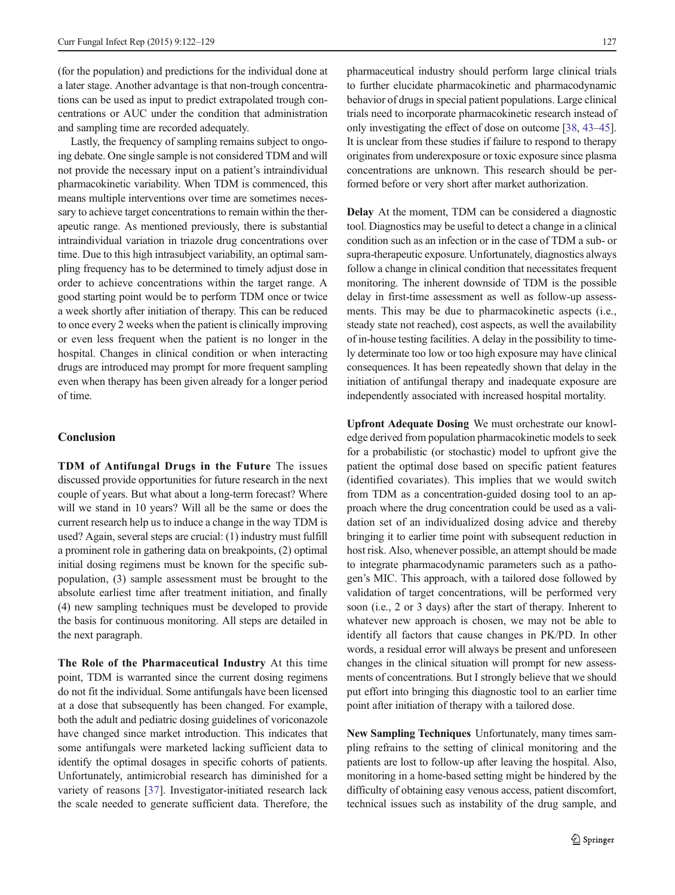(for the population) and predictions for the individual done at a later stage. Another advantage is that non-trough concentrations can be used as input to predict extrapolated trough concentrations or AUC under the condition that administration and sampling time are recorded adequately.

Lastly, the frequency of sampling remains subject to ongoing debate. One single sample is not considered TDM and will not provide the necessary input on a patient's intraindividual pharmacokinetic variability. When TDM is commenced, this means multiple interventions over time are sometimes necessary to achieve target concentrations to remain within the therapeutic range. As mentioned previously, there is substantial intraindividual variation in triazole drug concentrations over time. Due to this high intrasubject variability, an optimal sampling frequency has to be determined to timely adjust dose in order to achieve concentrations within the target range. A good starting point would be to perform TDM once or twice a week shortly after initiation of therapy. This can be reduced to once every 2 weeks when the patient is clinically improving or even less frequent when the patient is no longer in the hospital. Changes in clinical condition or when interacting drugs are introduced may prompt for more frequent sampling even when therapy has been given already for a longer period of time.

## Conclusion

TDM of Antifungal Drugs in the Future The issues discussed provide opportunities for future research in the next couple of years. But what about a long-term forecast? Where will we stand in 10 years? Will all be the same or does the current research help us to induce a change in the way TDM is used? Again, several steps are crucial: (1) industry must fulfill a prominent role in gathering data on breakpoints, (2) optimal initial dosing regimens must be known for the specific subpopulation, (3) sample assessment must be brought to the absolute earliest time after treatment initiation, and finally (4) new sampling techniques must be developed to provide the basis for continuous monitoring. All steps are detailed in the next paragraph.

The Role of the Pharmaceutical Industry At this time point, TDM is warranted since the current dosing regimens do not fit the individual. Some antifungals have been licensed at a dose that subsequently has been changed. For example, both the adult and pediatric dosing guidelines of voriconazole have changed since market introduction. This indicates that some antifungals were marketed lacking sufficient data to identify the optimal dosages in specific cohorts of patients. Unfortunately, antimicrobial research has diminished for a variety of reasons [[37\]](#page-7-0). Investigator-initiated research lack the scale needed to generate sufficient data. Therefore, the pharmaceutical industry should perform large clinical trials to further elucidate pharmacokinetic and pharmacodynamic behavior of drugs in special patient populations. Large clinical trials need to incorporate pharmacokinetic research instead of only investigating the effect of dose on outcome [\[38](#page-7-0), [43](#page-7-0)–[45\]](#page-7-0). It is unclear from these studies if failure to respond to therapy originates from underexposure or toxic exposure since plasma concentrations are unknown. This research should be performed before or very short after market authorization.

Delay At the moment, TDM can be considered a diagnostic tool. Diagnostics may be useful to detect a change in a clinical condition such as an infection or in the case of TDM a sub- or supra-therapeutic exposure. Unfortunately, diagnostics always follow a change in clinical condition that necessitates frequent monitoring. The inherent downside of TDM is the possible delay in first-time assessment as well as follow-up assessments. This may be due to pharmacokinetic aspects (i.e., steady state not reached), cost aspects, as well the availability of in-house testing facilities. A delay in the possibility to timely determinate too low or too high exposure may have clinical consequences. It has been repeatedly shown that delay in the initiation of antifungal therapy and inadequate exposure are independently associated with increased hospital mortality.

Upfront Adequate Dosing We must orchestrate our knowledge derived from population pharmacokinetic models to seek for a probabilistic (or stochastic) model to upfront give the patient the optimal dose based on specific patient features (identified covariates). This implies that we would switch from TDM as a concentration-guided dosing tool to an approach where the drug concentration could be used as a validation set of an individualized dosing advice and thereby bringing it to earlier time point with subsequent reduction in host risk. Also, whenever possible, an attempt should be made to integrate pharmacodynamic parameters such as a pathogen's MIC. This approach, with a tailored dose followed by validation of target concentrations, will be performed very soon (i.e., 2 or 3 days) after the start of therapy. Inherent to whatever new approach is chosen, we may not be able to identify all factors that cause changes in PK/PD. In other words, a residual error will always be present and unforeseen changes in the clinical situation will prompt for new assessments of concentrations. But I strongly believe that we should put effort into bringing this diagnostic tool to an earlier time point after initiation of therapy with a tailored dose.

New Sampling Techniques Unfortunately, many times sampling refrains to the setting of clinical monitoring and the patients are lost to follow-up after leaving the hospital. Also, monitoring in a home-based setting might be hindered by the difficulty of obtaining easy venous access, patient discomfort, technical issues such as instability of the drug sample, and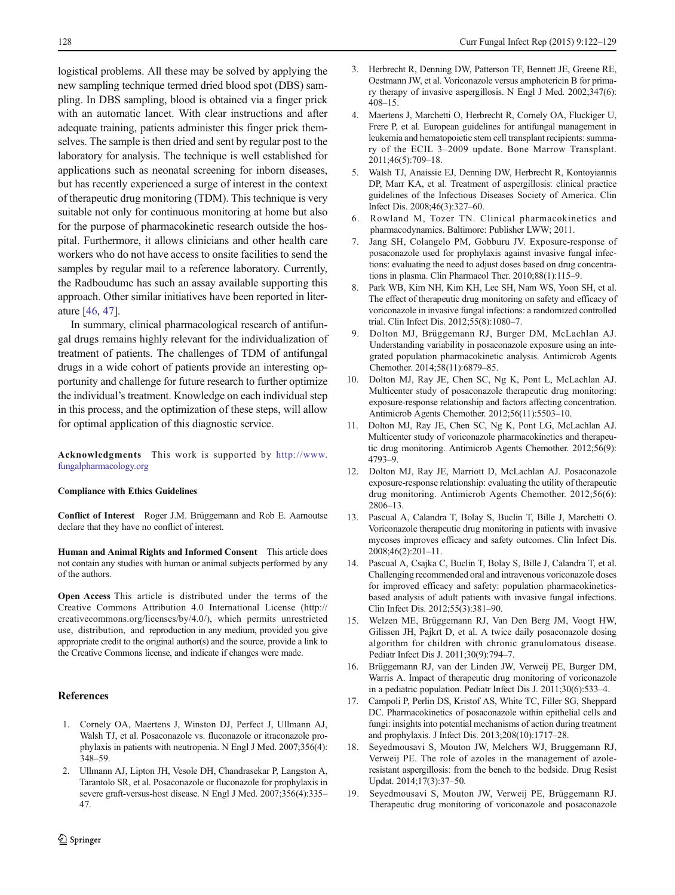<span id="page-6-0"></span>logistical problems. All these may be solved by applying the new sampling technique termed dried blood spot (DBS) sampling. In DBS sampling, blood is obtained via a finger prick with an automatic lancet. With clear instructions and after adequate training, patients administer this finger prick themselves. The sample is then dried and sent by regular post to the laboratory for analysis. The technique is well established for applications such as neonatal screening for inborn diseases, but has recently experienced a surge of interest in the context of therapeutic drug monitoring (TDM). This technique is very suitable not only for continuous monitoring at home but also for the purpose of pharmacokinetic research outside the hospital. Furthermore, it allows clinicians and other health care workers who do not have access to onsite facilities to send the samples by regular mail to a reference laboratory. Currently, the Radboudumc has such an assay available supporting this approach. Other similar initiatives have been reported in literature [\[46,](#page-7-0) [47\]](#page-7-0).

In summary, clinical pharmacological research of antifungal drugs remains highly relevant for the individualization of treatment of patients. The challenges of TDM of antifungal drugs in a wide cohort of patients provide an interesting opportunity and challenge for future research to further optimize the individual's treatment. Knowledge on each individual step in this process, and the optimization of these steps, will allow for optimal application of this diagnostic service.

Acknowledgments This work is supported by [http://www.](http://www.fungalpharmacology.org/) [fungalpharmacology.org](http://www.fungalpharmacology.org/)

#### Compliance with Ethics Guidelines

Conflict of Interest Roger J.M. Brüggemann and Rob E. Aarnoutse declare that they have no conflict of interest.

Human and Animal Rights and Informed Consent This article does not contain any studies with human or animal subjects performed by any of the authors.

Open Access This article is distributed under the terms of the Creative Commons Attribution 4.0 International License (http:// creativecommons.org/licenses/by/4.0/), which permits unrestricted use, distribution, and reproduction in any medium, provided you give appropriate credit to the original author(s) and the source, provide a link to the Creative Commons license, and indicate if changes were made.

#### **References**

- 1. Cornely OA, Maertens J, Winston DJ, Perfect J, Ullmann AJ, Walsh TJ, et al. Posaconazole vs. fluconazole or itraconazole prophylaxis in patients with neutropenia. N Engl J Med. 2007;356(4): 348–59.
- 2. Ullmann AJ, Lipton JH, Vesole DH, Chandrasekar P, Langston A, Tarantolo SR, et al. Posaconazole or fluconazole for prophylaxis in severe graft-versus-host disease. N Engl J Med. 2007;356(4):335– 47.
- 3. Herbrecht R, Denning DW, Patterson TF, Bennett JE, Greene RE, Oestmann JW, et al. Voriconazole versus amphotericin B for primary therapy of invasive aspergillosis. N Engl J Med. 2002;347(6): 408–15.
- 4. Maertens J, Marchetti O, Herbrecht R, Cornely OA, Fluckiger U, Frere P, et al. European guidelines for antifungal management in leukemia and hematopoietic stem cell transplant recipients: summary of the ECIL 3–2009 update. Bone Marrow Transplant. 2011;46(5):709–18.
- 5. Walsh TJ, Anaissie EJ, Denning DW, Herbrecht R, Kontoyiannis DP, Marr KA, et al. Treatment of aspergillosis: clinical practice guidelines of the Infectious Diseases Society of America. Clin Infect Dis. 2008;46(3):327–60.
- 6. Rowland M, Tozer TN. Clinical pharmacokinetics and pharmacodynamics. Baltimore: Publisher LWW; 2011.
- 7. Jang SH, Colangelo PM, Gobburu JV. Exposure-response of posaconazole used for prophylaxis against invasive fungal infections: evaluating the need to adjust doses based on drug concentrations in plasma. Clin Pharmacol Ther. 2010;88(1):115–9.
- 8. Park WB, Kim NH, Kim KH, Lee SH, Nam WS, Yoon SH, et al. The effect of therapeutic drug monitoring on safety and efficacy of voriconazole in invasive fungal infections: a randomized controlled trial. Clin Infect Dis. 2012;55(8):1080–7.
- 9. Dolton MJ, Brüggemann RJ, Burger DM, McLachlan AJ. Understanding variability in posaconazole exposure using an integrated population pharmacokinetic analysis. Antimicrob Agents Chemother. 2014;58(11):6879–85.
- 10. Dolton MJ, Ray JE, Chen SC, Ng K, Pont L, McLachlan AJ. Multicenter study of posaconazole therapeutic drug monitoring: exposure-response relationship and factors affecting concentration. Antimicrob Agents Chemother. 2012;56(11):5503–10.
- 11. Dolton MJ, Ray JE, Chen SC, Ng K, Pont LG, McLachlan AJ. Multicenter study of voriconazole pharmacokinetics and therapeutic drug monitoring. Antimicrob Agents Chemother. 2012;56(9): 4793–9.
- 12. Dolton MJ, Ray JE, Marriott D, McLachlan AJ. Posaconazole exposure-response relationship: evaluating the utility of therapeutic drug monitoring. Antimicrob Agents Chemother. 2012;56(6): 2806–13.
- 13. Pascual A, Calandra T, Bolay S, Buclin T, Bille J, Marchetti O. Voriconazole therapeutic drug monitoring in patients with invasive mycoses improves efficacy and safety outcomes. Clin Infect Dis. 2008;46(2):201–11.
- 14. Pascual A, Csajka C, Buclin T, Bolay S, Bille J, Calandra T, et al. Challenging recommended oral and intravenous voriconazole doses for improved efficacy and safety: population pharmacokineticsbased analysis of adult patients with invasive fungal infections. Clin Infect Dis. 2012;55(3):381–90.
- 15. Welzen ME, Brüggemann RJ, Van Den Berg JM, Voogt HW, Gilissen JH, Pajkrt D, et al. A twice daily posaconazole dosing algorithm for children with chronic granulomatous disease. Pediatr Infect Dis J. 2011;30(9):794–7.
- 16. Brüggemann RJ, van der Linden JW, Verweij PE, Burger DM, Warris A. Impact of therapeutic drug monitoring of voriconazole in a pediatric population. Pediatr Infect Dis J. 2011;30(6):533–4.
- 17. Campoli P, Perlin DS, Kristof AS, White TC, Filler SG, Sheppard DC. Pharmacokinetics of posaconazole within epithelial cells and fungi: insights into potential mechanisms of action during treatment and prophylaxis. J Infect Dis. 2013;208(10):1717–28.
- 18. Seyedmousavi S, Mouton JW, Melchers WJ, Bruggemann RJ, Verweij PE. The role of azoles in the management of azoleresistant aspergillosis: from the bench to the bedside. Drug Resist Updat. 2014;17(3):37–50.
- 19. Seyedmousavi S, Mouton JW, Verweij PE, Brüggemann RJ. Therapeutic drug monitoring of voriconazole and posaconazole